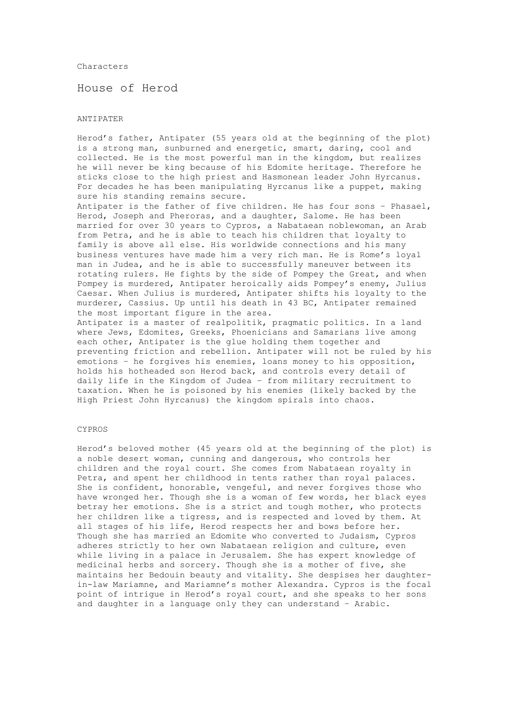#### Characters

House of Herod

### ANTIPATER

Herod's father, Antipater (55 years old at the beginning of the plot) is a strong man, sunburned and energetic, smart, daring, cool and collected. He is the most powerful man in the kingdom, but realizes he will never be king because of his Edomite heritage. Therefore he sticks close to the high priest and Hasmonean leader John Hyrcanus. For decades he has been manipulating Hyrcanus like a puppet, making sure his standing remains secure. Antipater is the father of five children. He has four sons – Phasael, Herod, Joseph and Pheroras, and a daughter, Salome. He has been married for over 30 years to Cypros, a Nabataean noblewoman, an Arab from Petra, and he is able to teach his children that loyalty to family is above all else. His worldwide connections and his many business ventures have made him a very rich man. He is Rome's loyal man in Judea, and he is able to successfully maneuver between its rotating rulers. He fights by the side of Pompey the Great, and when Pompey is murdered, Antipater heroically aids Pompey's enemy, Julius Caesar. When Julius is murdered, Antipater shifts his loyalty to the murderer, Cassius. Up until his death in 43 BC, Antipater remained the most important figure in the area. Antipater is a master of realpolitik, pragmatic politics. In a land where Jews, Edomites, Greeks, Phoenicians and Samarians live among each other, Antipater is the glue holding them together and preventing friction and rebellion. Antipater will not be ruled by his emotions – he forgives his enemies, loans money to his opposition,

holds his hotheaded son Herod back, and controls every detail of daily life in the Kingdom of Judea – from military recruitment to taxation. When he is poisoned by his enemies (likely backed by the High Priest John Hyrcanus) the kingdom spirals into chaos.

#### CYPROS

Herod's beloved mother (45 years old at the beginning of the plot) is a noble desert woman, cunning and dangerous, who controls her children and the royal court. She comes from Nabataean royalty in Petra, and spent her childhood in tents rather than royal palaces. She is confident, honorable, vengeful, and never forgives those who have wronged her. Though she is a woman of few words, her black eyes betray her emotions. She is a strict and tough mother, who protects her children like a tigress, and is respected and loved by them. At all stages of his life, Herod respects her and bows before her. Though she has married an Edomite who converted to Judaism, Cypros adheres strictly to her own Nabataean religion and culture, even while living in a palace in Jerusalem. She has expert knowledge of medicinal herbs and sorcery. Though she is a mother of five, she maintains her Bedouin beauty and vitality. She despises her daughterin-law Mariamne, and Mariamne's mother Alexandra. Cypros is the focal point of intrigue in Herod's royal court, and she speaks to her sons and daughter in a language only they can understand – Arabic.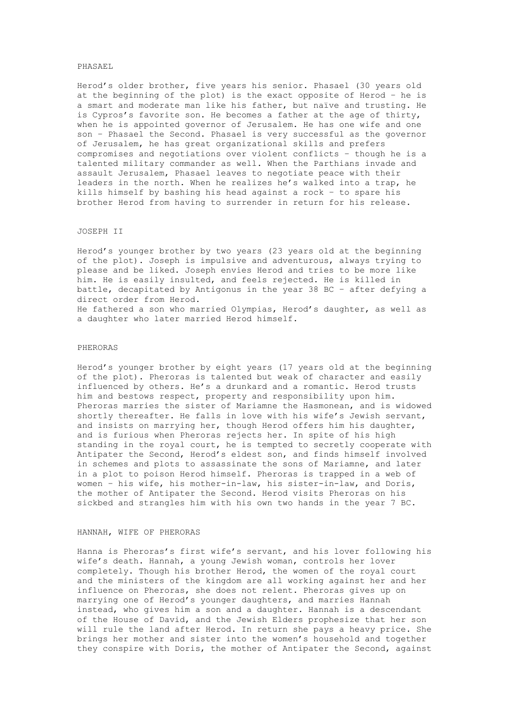#### PHASAEL

Herod's older brother, five years his senior. Phasael (30 years old at the beginning of the plot) is the exact opposite of Herod – he is a smart and moderate man like his father, but naïve and trusting. He is Cypros's favorite son. He becomes a father at the age of thirty, when he is appointed governor of Jerusalem. He has one wife and one son – Phasael the Second. Phasael is very successful as the governor of Jerusalem, he has great organizational skills and prefers compromises and negotiations over violent conflicts – though he is a talented military commander as well. When the Parthians invade and assault Jerusalem, Phasael leaves to negotiate peace with their leaders in the north. When he realizes he's walked into a trap, he kills himself by bashing his head against a rock – to spare his brother Herod from having to surrender in return for his release.

# JOSEPH II

Herod's younger brother by two years (23 years old at the beginning of the plot). Joseph is impulsive and adventurous, always trying to please and be liked. Joseph envies Herod and tries to be more like him. He is easily insulted, and feels rejected. He is killed in battle, decapitated by Antigonus in the year 38 BC – after defying a direct order from Herod. He fathered a son who married Olympias, Herod's daughter, as well as

a daughter who later married Herod himself.

# PHERORAS

Herod's younger brother by eight years (17 years old at the beginning of the plot). Pheroras is talented but weak of character and easily influenced by others. He's a drunkard and a romantic. Herod trusts him and bestows respect, property and responsibility upon him. Pheroras marries the sister of Mariamne the Hasmonean, and is widowed shortly thereafter. He falls in love with his wife's Jewish servant, and insists on marrying her, though Herod offers him his daughter, and is furious when Pheroras rejects her. In spite of his high standing in the royal court, he is tempted to secretly cooperate with Antipater the Second, Herod's eldest son, and finds himself involved in schemes and plots to assassinate the sons of Mariamne, and later in a plot to poison Herod himself. Pheroras is trapped in a web of women – his wife, his mother-in-law, his sister-in-law, and Doris, the mother of Antipater the Second. Herod visits Pheroras on his sickbed and strangles him with his own two hands in the year 7 BC.

### HANNAH, WIFE OF PHERORAS

Hanna is Pheroras's first wife's servant, and his lover following his wife's death. Hannah, a young Jewish woman, controls her lover completely. Though his brother Herod, the women of the royal court and the ministers of the kingdom are all working against her and her influence on Pheroras, she does not relent. Pheroras gives up on marrying one of Herod's younger daughters, and marries Hannah instead, who gives him a son and a daughter. Hannah is a descendant of the House of David, and the Jewish Elders prophesize that her son will rule the land after Herod. In return she pays a heavy price. She brings her mother and sister into the women's household and together they conspire with Doris, the mother of Antipater the Second, against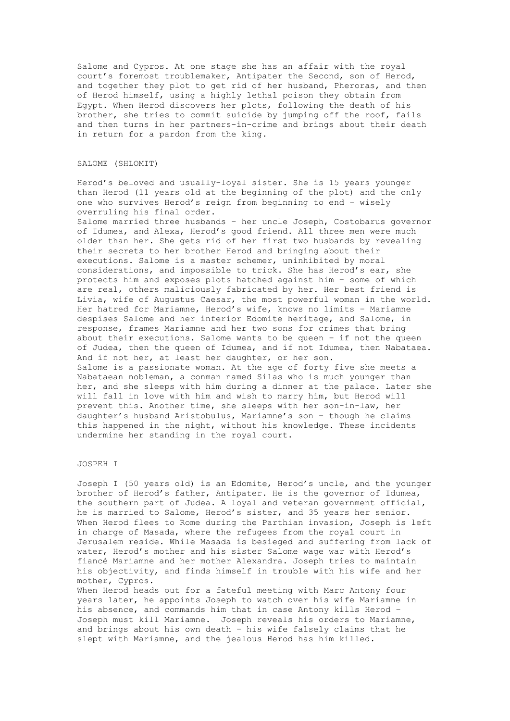Salome and Cypros. At one stage she has an affair with the royal court's foremost troublemaker, Antipater the Second, son of Herod, and together they plot to get rid of her husband, Pheroras, and then of Herod himself, using a highly lethal poison they obtain from Egypt. When Herod discovers her plots, following the death of his brother, she tries to commit suicide by jumping off the roof, fails and then turns in her partners-in-crime and brings about their death in return for a pardon from the king.

### SALOME (SHLOMIT)

Herod's beloved and usually-loyal sister. She is 15 years younger than Herod (11 years old at the beginning of the plot) and the only one who survives Herod's reign from beginning to end – wisely overruling his final order.

Salome married three husbands – her uncle Joseph, Costobarus governor of Idumea, and Alexa, Herod's good friend. All three men were much older than her. She gets rid of her first two husbands by revealing their secrets to her brother Herod and bringing about their executions. Salome is a master schemer, uninhibited by moral considerations, and impossible to trick. She has Herod's ear, she protects him and exposes plots hatched against him – some of which are real, others maliciously fabricated by her. Her best friend is Livia, wife of Augustus Caesar, the most powerful woman in the world. Her hatred for Mariamne, Herod's wife, knows no limits – Mariamne despises Salome and her inferior Edomite heritage, and Salome, in response, frames Mariamne and her two sons for crimes that bring about their executions. Salome wants to be queen – if not the queen of Judea, then the queen of Idumea, and if not Idumea, then Nabataea. And if not her, at least her daughter, or her son. Salome is a passionate woman. At the age of forty five she meets a Nabataean nobleman, a conman named Silas who is much younger than her, and she sleeps with him during a dinner at the palace. Later she will fall in love with him and wish to marry him, but Herod will prevent this. Another time, she sleeps with her son-in-law, her daughter's husband Aristobulus, Mariamne's son – though he claims this happened in the night, without his knowledge. These incidents undermine her standing in the royal court.

# JOSPEH I

Joseph I (50 years old) is an Edomite, Herod's uncle, and the younger brother of Herod's father, Antipater. He is the governor of Idumea, the southern part of Judea. A loyal and veteran government official, he is married to Salome, Herod's sister, and 35 years her senior. When Herod flees to Rome during the Parthian invasion, Joseph is left in charge of Masada, where the refugees from the royal court in Jerusalem reside. While Masada is besieged and suffering from lack of water, Herod's mother and his sister Salome wage war with Herod's fiancé Mariamne and her mother Alexandra. Joseph tries to maintain his objectivity, and finds himself in trouble with his wife and her mother, Cypros.

When Herod heads out for a fateful meeting with Marc Antony four years later, he appoints Joseph to watch over his wife Mariamne in his absence, and commands him that in case Antony kills Herod – Joseph must kill Mariamne. Joseph reveals his orders to Mariamne, and brings about his own death – his wife falsely claims that he slept with Mariamne, and the jealous Herod has him killed.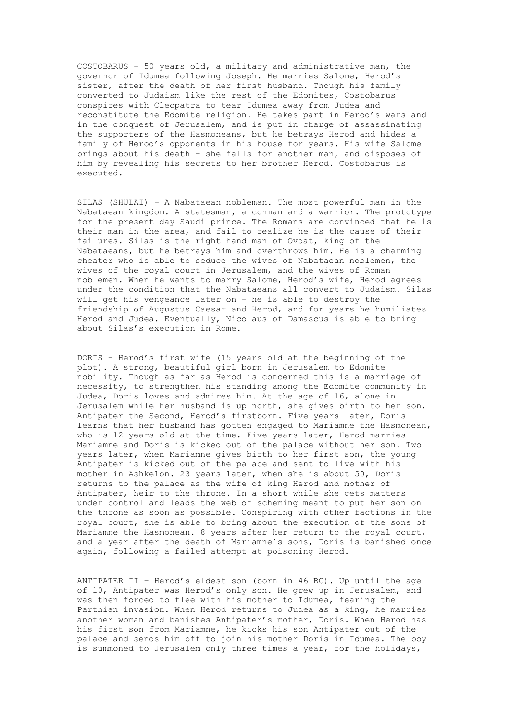COSTOBARUS – 50 years old, a military and administrative man, the governor of Idumea following Joseph. He marries Salome, Herod's sister, after the death of her first husband. Though his family converted to Judaism like the rest of the Edomites, Costobarus conspires with Cleopatra to tear Idumea away from Judea and reconstitute the Edomite religion. He takes part in Herod's wars and in the conquest of Jerusalem, and is put in charge of assassinating the supporters of the Hasmoneans, but he betrays Herod and hides a family of Herod's opponents in his house for years. His wife Salome brings about his death – she falls for another man, and disposes of him by revealing his secrets to her brother Herod. Costobarus is executed.

SILAS (SHULAI) – A Nabataean nobleman. The most powerful man in the Nabataean kingdom. A statesman, a conman and a warrior. The prototype for the present day Saudi prince. The Romans are convinced that he is their man in the area, and fail to realize he is the cause of their failures. Silas is the right hand man of Ovdat, king of the Nabataeans, but he betrays him and overthrows him. He is a charming cheater who is able to seduce the wives of Nabataean noblemen, the wives of the royal court in Jerusalem, and the wives of Roman noblemen. When he wants to marry Salome, Herod's wife, Herod agrees under the condition that the Nabataeans all convert to Judaism. Silas will get his vengeance later on – he is able to destroy the friendship of Augustus Caesar and Herod, and for years he humiliates Herod and Judea. Eventually, Nicolaus of Damascus is able to bring about Silas's execution in Rome.

DORIS – Herod's first wife (15 years old at the beginning of the plot). A strong, beautiful girl born in Jerusalem to Edomite nobility. Though as far as Herod is concerned this is a marriage of necessity, to strengthen his standing among the Edomite community in Judea, Doris loves and admires him. At the age of 16, alone in Jerusalem while her husband is up north, she gives birth to her son, Antipater the Second, Herod's firstborn. Five years later, Doris learns that her husband has gotten engaged to Mariamne the Hasmonean, who is 12-years-old at the time. Five years later, Herod marries Mariamne and Doris is kicked out of the palace without her son. Two years later, when Mariamne gives birth to her first son, the young Antipater is kicked out of the palace and sent to live with his mother in Ashkelon. 23 years later, when she is about 50, Doris returns to the palace as the wife of king Herod and mother of Antipater, heir to the throne. In a short while she gets matters under control and leads the web of scheming meant to put her son on the throne as soon as possible. Conspiring with other factions in the royal court, she is able to bring about the execution of the sons of Mariamne the Hasmonean. 8 years after her return to the royal court, and a year after the death of Mariamne's sons, Doris is banished once again, following a failed attempt at poisoning Herod.

ANTIPATER II – Herod's eldest son (born in 46 BC). Up until the age of 10, Antipater was Herod's only son. He grew up in Jerusalem, and was then forced to flee with his mother to Idumea, fearing the Parthian invasion. When Herod returns to Judea as a king, he marries another woman and banishes Antipater's mother, Doris. When Herod has his first son from Mariamne, he kicks his son Antipater out of the palace and sends him off to join his mother Doris in Idumea. The boy is summoned to Jerusalem only three times a year, for the holidays,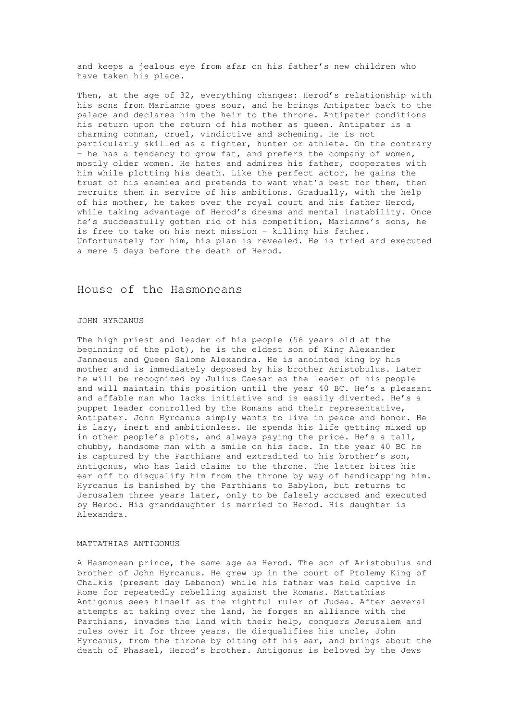and keeps a jealous eye from afar on his father's new children who have taken his place.

Then, at the age of 32, everything changes: Herod's relationship with his sons from Mariamne goes sour, and he brings Antipater back to the palace and declares him the heir to the throne. Antipater conditions his return upon the return of his mother as queen. Antipater is a charming conman, cruel, vindictive and scheming. He is not particularly skilled as a fighter, hunter or athlete. On the contrary - he has a tendency to grow fat, and prefers the company of women, mostly older women. He hates and admires his father, cooperates with him while plotting his death. Like the perfect actor, he gains the trust of his enemies and pretends to want what's best for them, then recruits them in service of his ambitions. Gradually, with the help of his mother, he takes over the royal court and his father Herod, while taking advantage of Herod's dreams and mental instability. Once he's successfully gotten rid of his competition, Mariamne's sons, he is free to take on his next mission – killing his father. Unfortunately for him, his plan is revealed. He is tried and executed a mere 5 days before the death of Herod.

# House of the Hasmoneans

#### JOHN HYRCANUS

The high priest and leader of his people (56 years old at the beginning of the plot), he is the eldest son of King Alexander Jannaeus and Queen Salome Alexandra. He is anointed king by his mother and is immediately deposed by his brother Aristobulus. Later he will be recognized by Julius Caesar as the leader of his people and will maintain this position until the year 40 BC. He's a pleasant and affable man who lacks initiative and is easily diverted. He's a puppet leader controlled by the Romans and their representative, Antipater. John Hyrcanus simply wants to live in peace and honor. He is lazy, inert and ambitionless. He spends his life getting mixed up in other people's plots, and always paying the price. He's a tall, chubby, handsome man with a smile on his face. In the year 40 BC he is captured by the Parthians and extradited to his brother's son, Antigonus, who has laid claims to the throne. The latter bites his ear off to disqualify him from the throne by way of handicapping him. Hyrcanus is banished by the Parthians to Babylon, but returns to Jerusalem three years later, only to be falsely accused and executed by Herod. His granddaughter is married to Herod. His daughter is Alexandra.

#### MATTATHIAS ANTIGONUS

A Hasmonean prince, the same age as Herod. The son of Aristobulus and brother of John Hyrcanus. He grew up in the court of Ptolemy King of Chalkis (present day Lebanon) while his father was held captive in Rome for repeatedly rebelling against the Romans. Mattathias Antigonus sees himself as the rightful ruler of Judea. After several attempts at taking over the land, he forges an alliance with the Parthians, invades the land with their help, conquers Jerusalem and rules over it for three years. He disqualifies his uncle, John Hyrcanus, from the throne by biting off his ear, and brings about the death of Phasael, Herod's brother. Antigonus is beloved by the Jews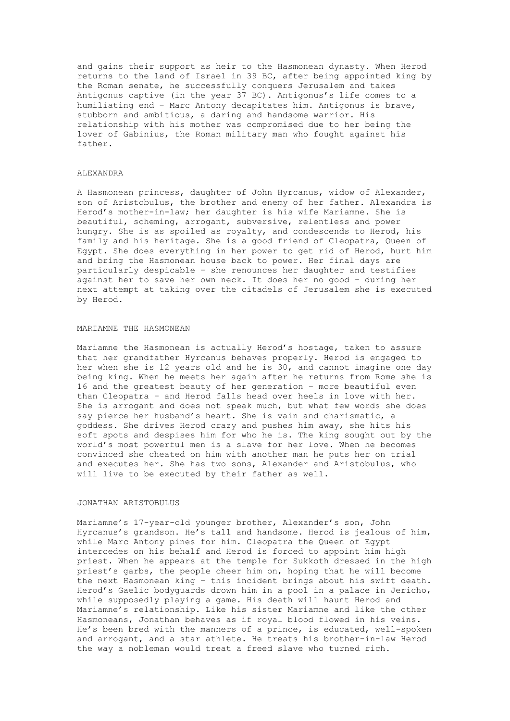and gains their support as heir to the Hasmonean dynasty. When Herod returns to the land of Israel in 39 BC, after being appointed king by the Roman senate, he successfully conquers Jerusalem and takes Antigonus captive (in the year 37 BC). Antigonus's life comes to a humiliating end – Marc Antony decapitates him. Antigonus is brave, stubborn and ambitious, a daring and handsome warrior. His relationship with his mother was compromised due to her being the lover of Gabinius, the Roman military man who fought against his father.

# ALEXANDRA

A Hasmonean princess, daughter of John Hyrcanus, widow of Alexander, son of Aristobulus, the brother and enemy of her father. Alexandra is Herod's mother-in-law; her daughter is his wife Mariamne. She is beautiful, scheming, arrogant, subversive, relentless and power hungry. She is as spoiled as royalty, and condescends to Herod, his family and his heritage. She is a good friend of Cleopatra, Queen of Egypt. She does everything in her power to get rid of Herod, hurt him and bring the Hasmonean house back to power. Her final days are particularly despicable – she renounces her daughter and testifies against her to save her own neck. It does her no good – during her next attempt at taking over the citadels of Jerusalem she is executed by Herod.

### MARIAMNE THE HASMONEAN

Mariamne the Hasmonean is actually Herod's hostage, taken to assure that her grandfather Hyrcanus behaves properly. Herod is engaged to her when she is 12 years old and he is 30, and cannot imagine one day being king. When he meets her again after he returns from Rome she is 16 and the greatest beauty of her generation – more beautiful even than Cleopatra – and Herod falls head over heels in love with her. She is arrogant and does not speak much, but what few words she does say pierce her husband's heart. She is vain and charismatic, a goddess. She drives Herod crazy and pushes him away, she hits his soft spots and despises him for who he is. The king sought out by the world's most powerful men is a slave for her love. When he becomes convinced she cheated on him with another man he puts her on trial and executes her. She has two sons, Alexander and Aristobulus, who will live to be executed by their father as well.

### JONATHAN ARISTOBULUS

Mariamne's 17-year-old younger brother, Alexander's son, John Hyrcanus's grandson. He's tall and handsome. Herod is jealous of him, while Marc Antony pines for him. Cleopatra the Queen of Egypt intercedes on his behalf and Herod is forced to appoint him high priest. When he appears at the temple for Sukkoth dressed in the high priest's garbs, the people cheer him on, hoping that he will become the next Hasmonean king – this incident brings about his swift death. Herod's Gaelic bodyguards drown him in a pool in a palace in Jericho, while supposedly playing a game. His death will haunt Herod and Mariamne's relationship. Like his sister Mariamne and like the other Hasmoneans, Jonathan behaves as if royal blood flowed in his veins. He's been bred with the manners of a prince, is educated, well-spoken and arrogant, and a star athlete. He treats his brother-in-law Herod the way a nobleman would treat a freed slave who turned rich.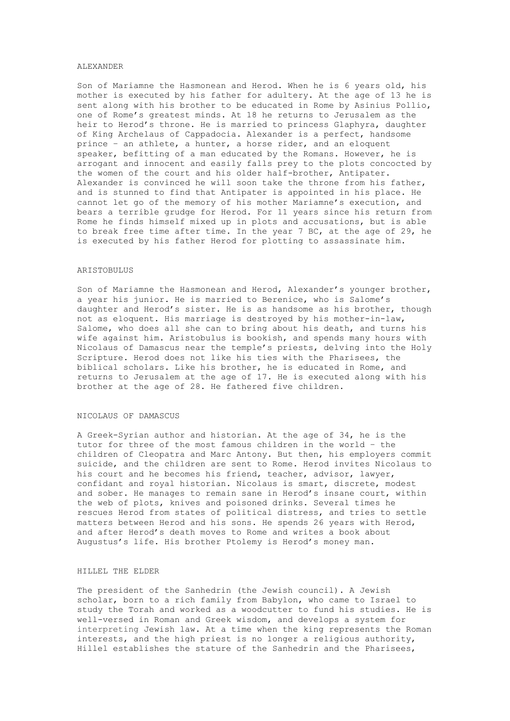#### ALEXANDER

Son of Mariamne the Hasmonean and Herod. When he is 6 years old, his mother is executed by his father for adultery. At the age of 13 he is sent along with his brother to be educated in Rome by Asinius Pollio, one of Rome's greatest minds. At 18 he returns to Jerusalem as the heir to Herod's throne. He is married to princess Glaphyra, daughter of King Archelaus of Cappadocia. Alexander is a perfect, handsome prince – an athlete, a hunter, a horse rider, and an eloquent speaker, befitting of a man educated by the Romans. However, he is arrogant and innocent and easily falls prey to the plots concocted by the women of the court and his older half-brother, Antipater. Alexander is convinced he will soon take the throne from his father, and is stunned to find that Antipater is appointed in his place. He cannot let go of the memory of his mother Mariamne's execution, and bears a terrible grudge for Herod. For 11 years since his return from Rome he finds himself mixed up in plots and accusations, but is able to break free time after time. In the year 7 BC, at the age of 29, he is executed by his father Herod for plotting to assassinate him.

### ARISTOBULUS

Son of Mariamne the Hasmonean and Herod, Alexander's younger brother, a year his junior. He is married to Berenice, who is Salome's daughter and Herod's sister. He is as handsome as his brother, though not as eloquent. His marriage is destroyed by his mother-in-law, Salome, who does all she can to bring about his death, and turns his wife against him. Aristobulus is bookish, and spends many hours with Nicolaus of Damascus near the temple's priests, delving into the Holy Scripture. Herod does not like his ties with the Pharisees, the biblical scholars. Like his brother, he is educated in Rome, and returns to Jerusalem at the age of 17. He is executed along with his brother at the age of 28. He fathered five children.

#### NICOLAUS OF DAMASCUS

A Greek-Syrian author and historian. At the age of 34, he is the tutor for three of the most famous children in the world – the children of Cleopatra and Marc Antony. But then, his employers commit suicide, and the children are sent to Rome. Herod invites Nicolaus to his court and he becomes his friend, teacher, advisor, lawyer, confidant and royal historian. Nicolaus is smart, discrete, modest and sober. He manages to remain sane in Herod's insane court, within the web of plots, knives and poisoned drinks. Several times he rescues Herod from states of political distress, and tries to settle matters between Herod and his sons. He spends 26 years with Herod, and after Herod's death moves to Rome and writes a book about Augustus's life. His brother Ptolemy is Herod's money man.

# HILLEL THE ELDER

The president of the Sanhedrin (the Jewish council). A Jewish scholar, born to a rich family from Babylon, who came to Israel to study the Torah and worked as a woodcutter to fund his studies. He is well-versed in Roman and Greek wisdom, and develops a system for interpreting Jewish law. At a time when the king represents the Roman interests, and the high priest is no longer a religious authority, Hillel establishes the stature of the Sanhedrin and the Pharisees,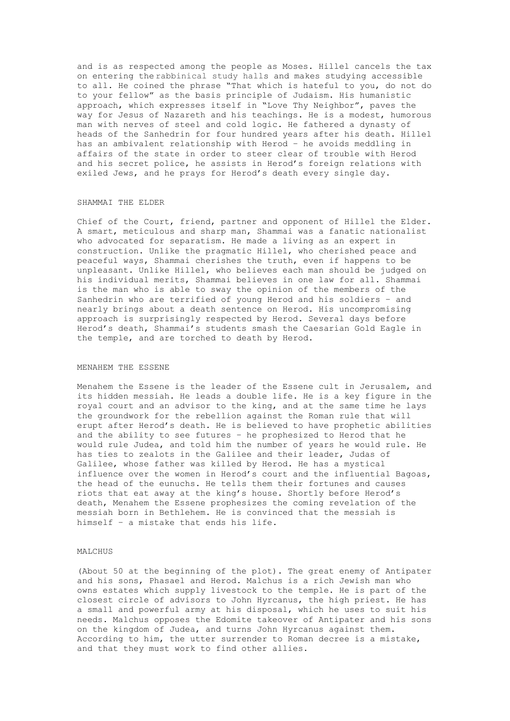and is as respected among the people as Moses. Hillel cancels the tax on entering the rabbinical study halls and makes studying accessible to all. He coined the phrase "That which is hateful to you, do not do to your fellow" as the basis principle of Judaism. His humanistic approach, which expresses itself in "Love Thy Neighbor", paves the way for Jesus of Nazareth and his teachings. He is a modest, humorous man with nerves of steel and cold logic. He fathered a dynasty of heads of the Sanhedrin for four hundred years after his death. Hillel has an ambivalent relationship with Herod – he avoids meddling in affairs of the state in order to steer clear of trouble with Herod and his secret police, he assists in Herod's foreign relations with exiled Jews, and he prays for Herod's death every single day.

### SHAMMAI THE ELDER

Chief of the Court, friend, partner and opponent of Hillel the Elder. A smart, meticulous and sharp man, Shammai was a fanatic nationalist who advocated for separatism. He made a living as an expert in construction. Unlike the pragmatic Hillel, who cherished peace and peaceful ways, Shammai cherishes the truth, even if happens to be unpleasant. Unlike Hillel, who believes each man should be judged on his individual merits, Shammai believes in one law for all. Shammai is the man who is able to sway the opinion of the members of the Sanhedrin who are terrified of young Herod and his soldiers – and nearly brings about a death sentence on Herod. His uncompromising approach is surprisingly respected by Herod. Several days before Herod's death, Shammai's students smash the Caesarian Gold Eagle in the temple, and are torched to death by Herod.

#### MENAHEM THE ESSENE

Menahem the Essene is the leader of the Essene cult in Jerusalem, and its hidden messiah. He leads a double life. He is a key figure in the royal court and an advisor to the king, and at the same time he lays the groundwork for the rebellion against the Roman rule that will erupt after Herod's death. He is believed to have prophetic abilities and the ability to see futures – he prophesized to Herod that he would rule Judea, and told him the number of years he would rule. He has ties to zealots in the Galilee and their leader, Judas of Galilee, whose father was killed by Herod. He has a mystical influence over the women in Herod's court and the influential Bagoas, the head of the eunuchs. He tells them their fortunes and causes riots that eat away at the king's house. Shortly before Herod's death, Menahem the Essene prophesizes the coming revelation of the messiah born in Bethlehem. He is convinced that the messiah is himself – a mistake that ends his life.

## MALCHUS

(About 50 at the beginning of the plot). The great enemy of Antipater and his sons, Phasael and Herod. Malchus is a rich Jewish man who owns estates which supply livestock to the temple. He is part of the closest circle of advisors to John Hyrcanus, the high priest. He has a small and powerful army at his disposal, which he uses to suit his needs. Malchus opposes the Edomite takeover of Antipater and his sons on the kingdom of Judea, and turns John Hyrcanus against them. According to him, the utter surrender to Roman decree is a mistake, and that they must work to find other allies.